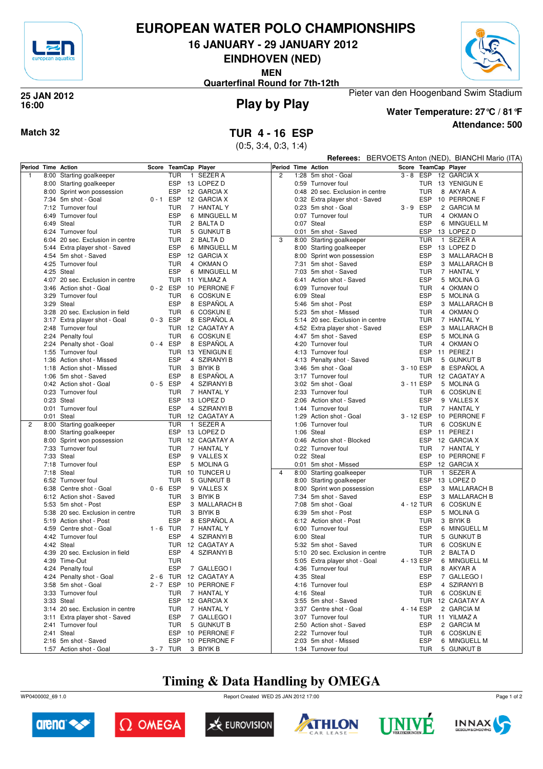

#### **EUROPEAN WATER POLO CHAMPIONSHIPS**

**16 JANUARY - 29 JANUARY 2012**

**EINDHOVEN (NED)**

**MEN**



**Quarterfinal Round for 7th-12th**

#### **Play by Play 25 JAN 2012 16:00**



**Attendance: 500 Water Temperature: 27°C / 81°F**

Pieter van den Hoogenband Swim Stadium

**Match 32 TUR 4 - 16 ESP**

(0:5, 3:4, 0:3, 1:4)

|   |      |                                                 |             |                            |                                       |                |      |                                                        |             |                          | <b>Referees:</b> BERVOETS Anton (NED), BIANCHI Mario (ITA) |
|---|------|-------------------------------------------------|-------------|----------------------------|---------------------------------------|----------------|------|--------------------------------------------------------|-------------|--------------------------|------------------------------------------------------------|
|   |      | Period Time Action                              |             | Score TeamCap Player       |                                       |                |      | Period Time Action                                     |             | Score TeamCap Player     |                                                            |
| 1 |      | 8:00 Starting goalkeeper                        |             | <b>TUR</b><br>$\mathbf{1}$ | SEZER A                               | $\overline{2}$ |      | 1:28 5m shot - Goal                                    |             | $3 - 8$ ESP              | 12 GARCIA X                                                |
|   |      | 8:00 Starting goalkeeper                        |             | ESP                        | 13 LOPEZ D                            |                |      | 0:59 Turnover foul                                     |             |                          | TUR 13 YENIGUN E                                           |
|   |      | 8:00 Sprint won possession                      |             | ESP                        | 12 GARCIA X                           |                |      | 0:48 20 sec. Exclusion in centre                       |             | <b>TUR</b>               | 8 AKYAR A                                                  |
|   |      | 7:34 5m shot - Goal                             | $0 - 1$ ESP |                            | 12 GARCIA X                           |                |      | 0:32 Extra player shot - Saved                         |             | <b>ESP</b>               | 10 PERRONE F                                               |
|   |      | 7:12 Turnover foul                              |             | <b>TUR</b>                 | 7 HANTAL Y                            |                |      | 0:23 5m shot - Goal                                    | $3 - 9$ ESP |                          | 2 GARCIA M                                                 |
|   |      | 6:49 Turnover foul                              |             | <b>ESP</b>                 | 6 MINGUELL M                          |                |      | 0:07 Turnover foul                                     |             | TUR                      | 4 OKMAN O                                                  |
|   |      | 6:49 Steal                                      |             | <b>TUR</b>                 | 2 BALTA D                             |                |      | 0:07 Steal                                             |             | <b>ESP</b>               | 6 MINGUELL M                                               |
|   |      | 6:24 Turnover foul                              |             | <b>TUR</b>                 | 5 GUNKUT B                            |                |      | 0:01 5m shot - Saved                                   |             | <b>ESP</b>               | 13 LOPEZ D                                                 |
|   |      | 6:04 20 sec. Exclusion in centre                |             | <b>TUR</b>                 | 2 BALTA D                             | 3              |      | 8:00 Starting goalkeeper                               |             | TUR                      | 1 SEZER A                                                  |
|   |      | 5:44 Extra player shot - Saved                  |             | <b>ESP</b>                 | 6 MINGUELL M                          |                |      | 8:00 Starting goalkeeper                               |             | ESP                      | 13 LOPEZ D                                                 |
|   |      | 4:54 5m shot - Saved                            |             | ESP                        | 12 GARCIA X                           |                |      | 8:00 Sprint won possession                             |             | <b>ESP</b>               | 3 MALLARACH B                                              |
|   |      | 4:25 Turnover foul                              |             | <b>TUR</b>                 | 4 OKMAN O                             |                |      | 7:31 5m shot - Saved                                   |             | <b>ESP</b>               | 3 MALLARACH B                                              |
|   |      | 4:25 Steal                                      |             | <b>ESP</b>                 | 6 MINGUELL M                          |                |      | 7:03 5m shot - Saved                                   |             | TUR                      | 7 HANTAL Y                                                 |
|   |      | 4:07 20 sec. Exclusion in centre                |             |                            | TUR 11 YILMAZ A                       |                |      | 6:41 Action shot - Saved                               |             | <b>ESP</b>               | 5 MOLINA G                                                 |
|   |      | 3:46 Action shot - Goal                         | $0 - 2$ ESP |                            | 10 PERRONE F                          |                | 6:09 | Turnover foul                                          |             | TUR                      | 4 OKMAN O                                                  |
|   |      | 3:29 Turnover foul                              |             | <b>TUR</b>                 | 6 COSKUN E                            |                |      | 6:09 Steal                                             |             | <b>ESP</b>               | 5 MOLINA G                                                 |
|   |      | 3:29 Steal                                      |             | <b>ESP</b>                 | 8 ESPANOL A                           |                |      | 5:46 5m shot - Post                                    |             | <b>ESP</b>               | 3 MALLARACH B                                              |
|   |      | 3:28 20 sec. Exclusion in field                 |             | <b>TUR</b>                 | 6 COSKUN E                            |                |      | 5:23 5m shot - Missed                                  |             | TUR                      | 4 OKMAN O                                                  |
|   |      | 3:17 Extra player shot - Goal                   | $0 - 3$ ESP |                            | 8 ESPAÑOL A                           |                |      | 5:14 20 sec. Exclusion in centre                       |             | <b>TUR</b>               | 7 HANTAL Y                                                 |
|   |      | 2:48 Turnover foul<br>2:24 Penalty foul         |             | <b>TUR</b><br><b>TUR</b>   | 12 CAGATAY A<br>6 COSKUN E            |                |      | 4:52 Extra player shot - Saved<br>4:47 5m shot - Saved |             | <b>ESP</b><br><b>ESP</b> | 3 MALLARACH B<br>5 MOLINA G                                |
|   |      | 2:24 Penalty shot - Goal                        | $0 - 4$ ESP |                            | 8 ESPAÑOL A                           |                |      | 4:20 Turnover foul                                     |             | <b>TUR</b>               | 4 OKMAN O                                                  |
|   |      | 1:55 Turnover foul                              |             |                            | TUR 13 YENIGUN E                      |                |      | 4:13 Turnover foul                                     |             | ESP                      | 11 PEREZ I                                                 |
|   | 1:36 | Action shot - Missed                            |             | <b>ESP</b>                 | 4 SZIRANYI B                          |                |      | 4:13 Penalty shot - Saved                              |             | <b>TUR</b>               | 5 GUNKUT B                                                 |
|   |      | 1:18 Action shot - Missed                       |             | <b>TUR</b>                 | 3 BIYIK B                             |                |      | 3:46 5m shot - Goal                                    |             | 3 - 10 ESP               | 8 ESPAÑOL A                                                |
|   |      | 1:06 5m shot - Saved                            |             | <b>ESP</b>                 | 8 ESPAÑOL A                           |                |      | 3:17 Turnover foul                                     |             |                          | TUR 12 CAGATAY A                                           |
|   |      | 0:42 Action shot - Goal                         | $0 - 5$ ESP |                            | 4 SZIRANYI B                          |                |      | 3:02 5m shot - Goal                                    | 3 - 11 ESP  |                          | 5 MOLINA G                                                 |
|   |      | 0:23 Turnover foul                              |             | <b>TUR</b>                 | 7 HANTAL Y                            |                |      | 2:33 Turnover foul                                     |             | TUR                      | 6 COSKUN E                                                 |
|   |      | 0:23 Steal                                      |             | ESP                        | 13 LOPEZ D                            |                |      | 2:06 Action shot - Saved                               |             | <b>ESP</b>               | 9 VALLES X                                                 |
|   |      | 0:01 Turnover foul                              |             | <b>ESP</b>                 | 4 SZIRANYI B                          |                |      | 1:44 Turnover foul                                     |             | TUR                      | 7 HANTAL Y                                                 |
|   |      | 0:01 Steal                                      |             |                            | TUR 12 CAGATAY A                      |                | 1:29 | Action shot - Goal                                     |             | 3 - 12 ESP               | 10 PERRONE F                                               |
| 2 |      | 8:00 Starting goalkeeper                        |             | <b>TUR</b>                 | 1 SEZER A                             |                | 1:06 | Turnover foul                                          |             | <b>TUR</b>               | 6 COSKUN E                                                 |
|   |      | 8:00 Starting goalkeeper                        |             | ESP                        | 13 LOPEZ D                            |                |      | 1:06 Steal                                             |             | <b>ESP</b>               | 11 PEREZ I                                                 |
|   |      | 8:00 Sprint won possession                      |             |                            | TUR 12 CAGATAY A                      |                |      | 0:46 Action shot - Blocked                             |             | <b>ESP</b>               | 12 GARCIA X                                                |
|   |      | 7:33 Turnover foul                              |             | <b>TUR</b>                 | 7 HANTAL Y                            |                |      | 0:22 Turnover foul                                     |             | <b>TUR</b>               | 7 HANTAL Y                                                 |
|   |      | 7:33 Steal                                      |             | ESP                        | 9 VALLES X                            |                |      | 0:22 Steal                                             |             | <b>ESP</b>               | 10 PERRONE F                                               |
|   |      | 7:18 Turnover foul                              |             | <b>ESP</b>                 | 5 MOLINA G                            |                |      | 0:01 5m shot - Missed                                  |             | <b>ESP</b>               | 12 GARCIA X                                                |
|   |      | 7:18 Steal                                      |             | TUR                        | 10 TUNCER U                           | $\overline{4}$ |      | 8:00 Starting goalkeeper                               |             | <b>TUR</b>               | 1 SEZER A                                                  |
|   |      | 6:52 Turnover foul                              |             | <b>TUR</b>                 | 5 GUNKUT B                            |                |      | 8:00 Starting goalkeeper                               |             | <b>ESP</b>               | 13 LOPEZ D                                                 |
|   |      | 6:38 Centre shot - Goal                         | $0 - 6$ ESP |                            | 9 VALLES X                            |                |      | 8:00 Sprint won possession                             |             | <b>ESP</b>               | 3 MALLARACH B                                              |
|   |      | 6:12 Action shot - Saved                        |             | <b>TUR</b>                 | 3 BIYIK B                             |                |      | 7:34 5m shot - Saved                                   |             | <b>ESP</b>               | 3 MALLARACH B                                              |
|   |      | 5:53 5m shot - Post                             |             | ESP                        | 3 MALLARACH B                         |                |      | 7:08 5m shot - Goal                                    |             | 4 - 12 TUR               | 6 COSKUN E                                                 |
|   |      | 5:38 20 sec. Exclusion in centre                |             | <b>TUR</b>                 | 3 BIYIK B                             |                |      | 6:39 5m shot - Post                                    |             | <b>ESP</b>               | 5 MOLINA G                                                 |
|   |      | 5:19 Action shot - Post                         |             | <b>ESP</b>                 | 8 ESPAÑOL A                           |                |      | 6:12 Action shot - Post                                |             | TUR                      | 3 BIYIK B                                                  |
|   |      | 4:59 Centre shot - Goal                         | $1 - 6$ TUR |                            | 7 HANTAL Y                            |                |      | 6:00 Turnover foul                                     |             | <b>ESP</b>               | 6 MINGUELL M                                               |
|   |      | 4:42 Turnover foul                              |             | <b>ESP</b>                 | 4 SZIRANYI B                          |                |      | 6:00 Steal                                             |             | TUR                      | 5 GUNKUT B                                                 |
|   |      | 4:42 Steal                                      |             | <b>TUR</b><br><b>ESP</b>   | 12 CAGATAY A<br>4 SZIRANYI B          |                |      | 5:32 5m shot - Saved                                   |             | TUR                      | 6 COSKUN E                                                 |
|   |      | 4:39 20 sec. Exclusion in field                 |             |                            |                                       |                |      | 5:10 20 sec. Exclusion in centre                       |             | <b>TUR</b>               | 2 BALTA D                                                  |
|   |      | 4:39 Time-Out<br>4:24 Penalty foul              |             | <b>TUR</b>                 |                                       |                |      | 5:05 Extra player shot - Goal<br>4:36 Turnover foul    |             | 4 - 13 ESP               | 6 MINGUELL M                                               |
|   |      |                                                 |             | ESP                        | 7 GALLEGO I<br>2 - 6 TUR 12 CAGATAY A |                |      | 4:35 Steal                                             |             | TUR                      | 8 AKYAR A                                                  |
|   |      | 4:24 Penalty shot - Goal<br>3:58 5m shot - Goal |             |                            | 2-7 ESP 10 PERRONE F                  |                |      | 4:16 Turnover foul                                     |             | ESP<br>ESP               | 7 GALLEGO I<br>4 SZIRANYI B                                |
|   |      | 3:33 Turnover foul                              |             | TUR                        | 7 HANTAL Y                            |                |      | 4:16 Steal                                             |             | TUR                      | 6 COSKUN E                                                 |
|   |      | 3:33 Steal                                      |             |                            | ESP 12 GARCIA X                       |                |      | 3:55 5m shot - Saved                                   |             |                          | TUR 12 CAGATAY A                                           |
|   |      | 3:14 20 sec. Exclusion in centre                |             | TUR                        | 7 HANTAL Y                            |                |      | 3:37 Centre shot - Goal                                |             | 4 - 14 ESP               | 2 GARCIA M                                                 |
|   |      | 3:11 Extra player shot - Saved                  |             | ESP                        | 7 GALLEGO I                           |                |      | 3:07 Turnover foul                                     |             |                          | TUR 11 YILMAZ A                                            |
|   |      | 2:41 Turnover foul                              |             | TUR                        | 5 GUNKUT B                            |                |      | 2:50 Action shot - Saved                               |             | ESP                      | 2 GARCIA M                                                 |
|   |      | 2:41 Steal                                      |             |                            | ESP 10 PERRONE F                      |                |      | 2:22 Turnover foul                                     |             | TUR                      | 6 COSKUN E                                                 |
|   |      | 2:16 5m shot - Saved                            |             |                            | ESP 10 PERRONE F                      |                |      | 2:03 5m shot - Missed                                  |             | ESP                      | 6 MINGUELL M                                               |
|   |      | 1:57 Action shot - Goal                         |             | 3-7 TUR 3 BIYIK B          |                                       |                |      | 1:34 Turnover foul                                     |             |                          | TUR 5 GUNKUT B                                             |

### **Timing & Data Handling by OMEGA**

WP0400002\_69 1.0 Report Created WED 25 JAN 2012 17:00













Page 1 of 2